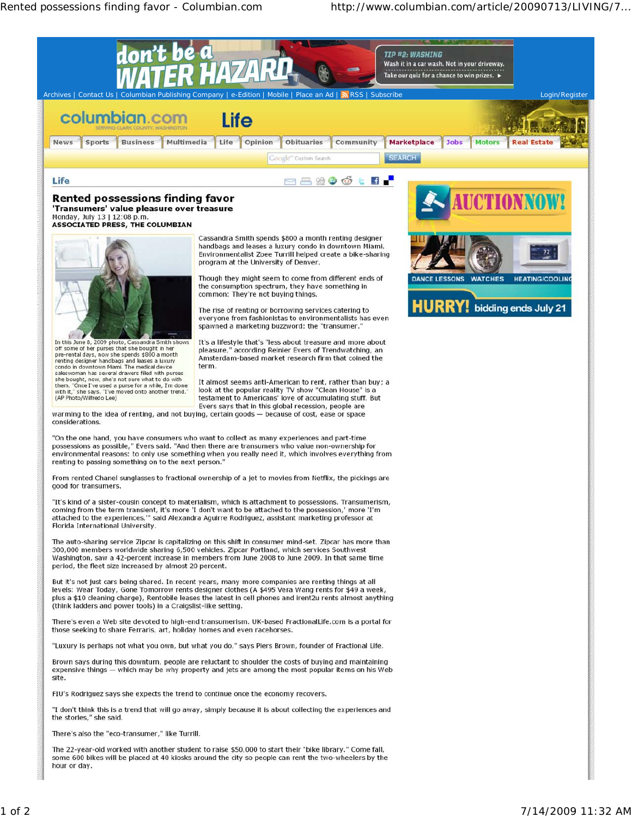